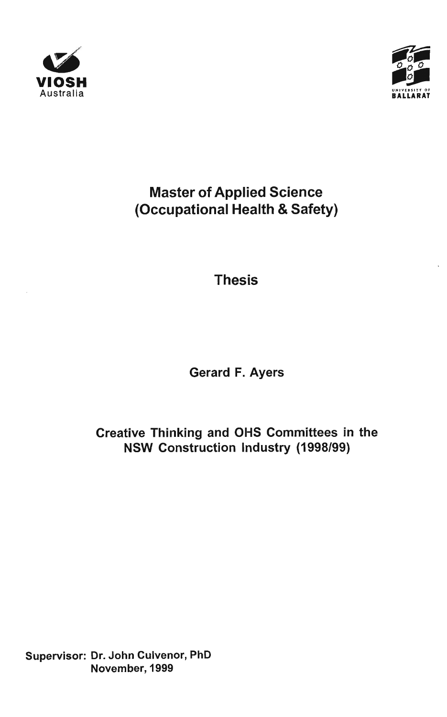



# Master of Applied Science (Occupational Health & Safety)

Thesis

**Gerard F. Ayers** 

## **Creative Thinking and OHS Committees in the N S W Construction Industry (1998/99)**

**Supervisor: Dr. John Culvenor, PhD November, 1999**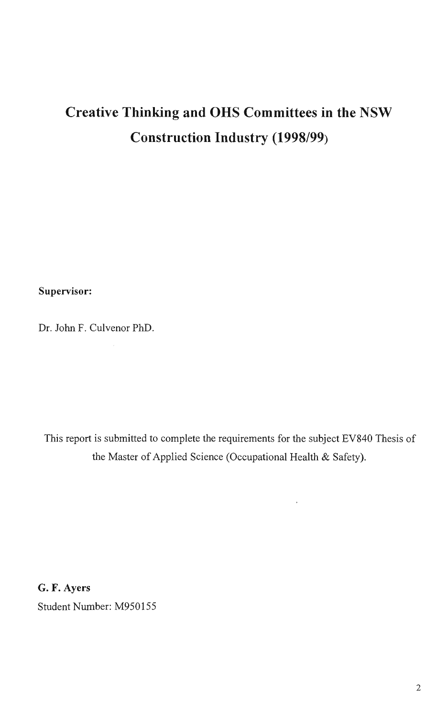# **Creative Thinking and OHS Committees in the NSW Construction Industry (1998/99)**

**Supervisor:** 

Dr. John F. Culvenor PhD.

 $\sim$ 

This report is submitted to complete the requirements for the subject EV840 Thesis of the Master of Applied Science (Occupational Health & Safety).

 $\bar{\star}$ 

G. F. Ayers Student Number: M950155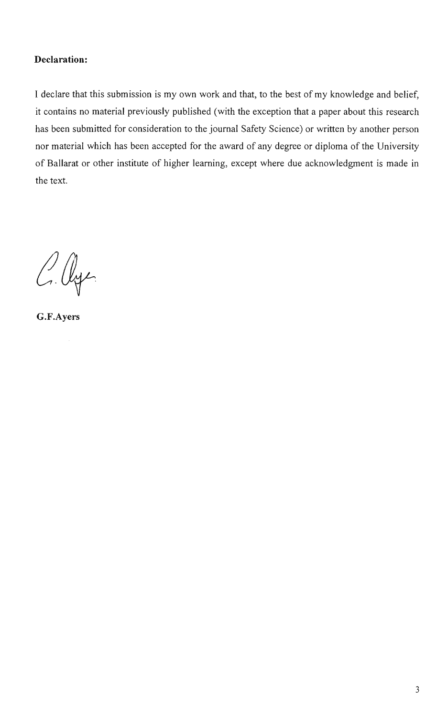#### **Declaration:**

I declare that this submission is my own work and that, to the best of my knowledge and belief, it contains no material previously published (with the exception that a paper about this research has been submitted for consideration to the journal Safety Science) or written by another person nor material which has been accepted for the award of any degree or diploma of the University of Ballarat or other institute of higher learning, except where due acknowledgment is made in the text.

C. Age

G.F.Ayers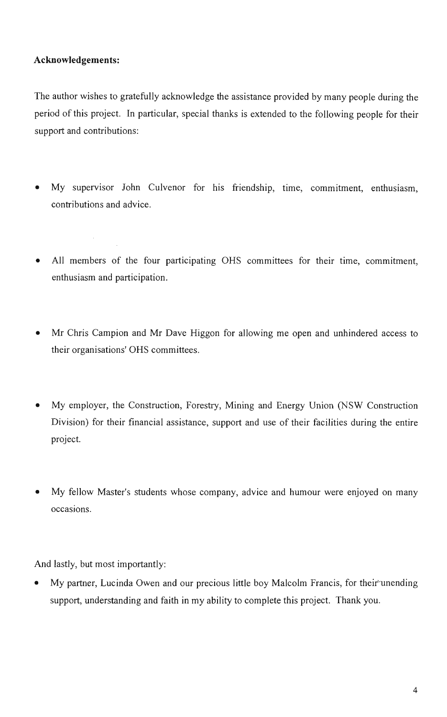#### **Acknowledgements:**

 $\mathcal{L}$ 

The author wishes to gratefully acknowledge the assistance provided by many people during the period of this project. In particular, special thanks is extended to the following people for their support and contributions:

- My supervisor John Culvenor for his friendship, time, commitment, enthusiasm, contributions and advice.
- All members of the four participating OHS committees for their time, commitment, enthusiasm and participation.
- Mr Chris Campion and Mr Dave Higgon for allowing me open and unhindered access to their organisations' OHS committees.
- My employer, the Construction, Forestry, Mining and Energy Union (NSW Construction Division) for their financial assistance, support and use of their facilities during the entire project.
- My fellow Master's students whose company, advice and humour were enjoyed on many occasions.

And lastly, but most importantly:

My partner, Lucinda Owen and our precious little boy Malcolm Francis, for their unending support, understanding and faith in my ability to complete this project. Thank you.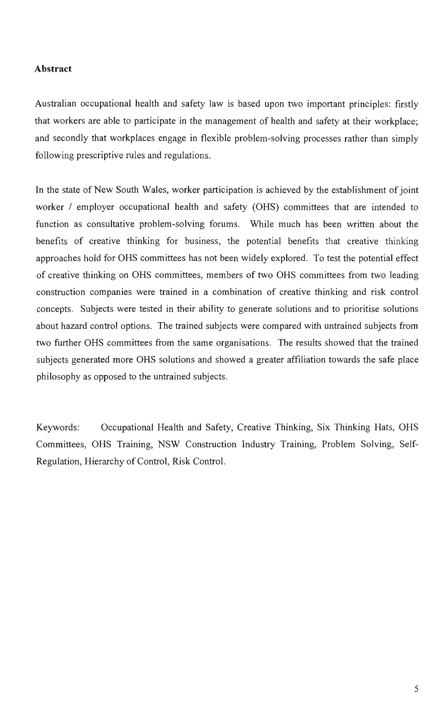#### **Abstract**

Australian occupational health and safety law is based upon two important principles: firstly that workers are able to participate in the management of health and safety at their workplace; and secondly that workplaces engage in flexible problem-solving processes rather than simply following prescriptive rules and regulations.

In the state of New South Wales, worker participation is achieved by the establishment of joint worker / employer occupational health and safety (OHS) committees that are intended to function as consultative problem-solving forums. While much has been written about the benefits of creative thinking for business, the potential benefits that creative thinking approaches hold for OHS committees has not been widely explored. To test the potential effect of creative thinking on OHS committees, members of two OHS committees from two leading construction companies were trained in a combination of creative thinking and risk control concepts. Subjects were tested in their ability to generate solutions and to prioritise solutions about hazard control options. The trained subjects were compared with untrained subjects from two further OHS committees from the same organisations. The results showed that the trained subjects generated more OHS solutions and showed a greater affiliation towards the safe place philosophy as opposed to the untrained subjects.

Keywords: Occupational Health and Safety, Creative Thinking, Six Thinking Hats, OHS Committees, OHS Training, NSW Construction Industry Training, Problem Solving, Self-Regulation, Hierarchy of Control, Risk Control.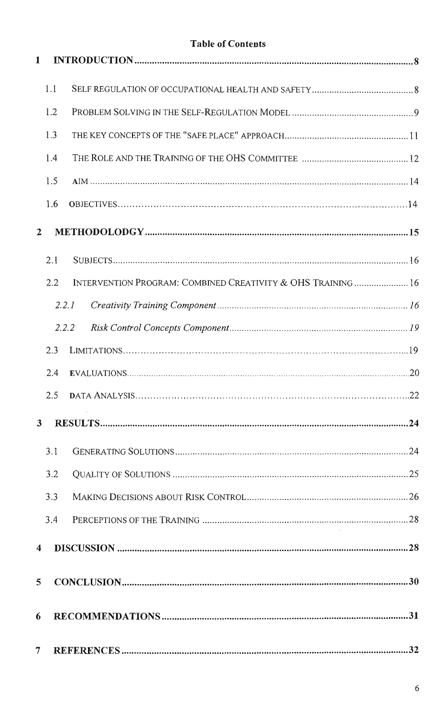### **Table of Contents**

| $\mathbf{1}$   |       |                                                             |    |
|----------------|-------|-------------------------------------------------------------|----|
|                | 1.1   |                                                             |    |
|                | 1.2   |                                                             |    |
|                | 1.3   |                                                             |    |
|                | 1.4   |                                                             |    |
|                | 1.5   |                                                             |    |
|                | 1.6   |                                                             |    |
| $\overline{2}$ |       |                                                             |    |
|                | 2.1   |                                                             |    |
|                | 2.2   | INTERVENTION PROGRAM: COMBINED CREATIVITY & OHS TRAINING 16 |    |
|                | 2.2.1 |                                                             |    |
|                | 2.2.2 |                                                             |    |
|                | 2.3   |                                                             |    |
|                | 2.4   |                                                             |    |
|                | 2.5   |                                                             |    |
|                |       |                                                             | 24 |
|                | 3.1   |                                                             |    |
|                | 3.2   |                                                             |    |
|                | 3.3   |                                                             |    |
|                | 3.4   |                                                             |    |
| 4              |       |                                                             |    |
| 5              |       |                                                             |    |
| 6              |       |                                                             |    |
| 7              |       |                                                             |    |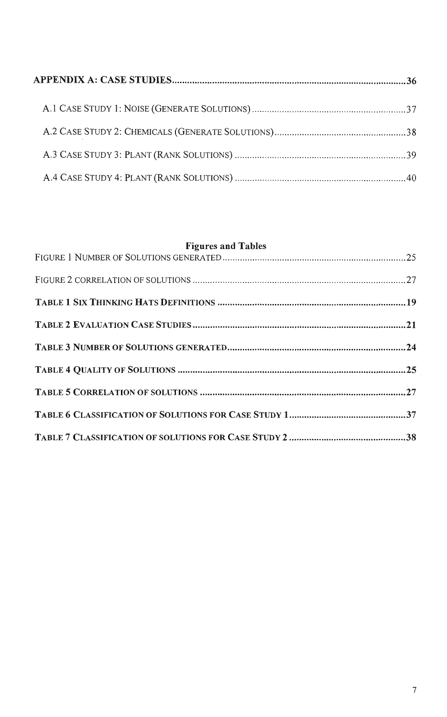### **Figures and Tables**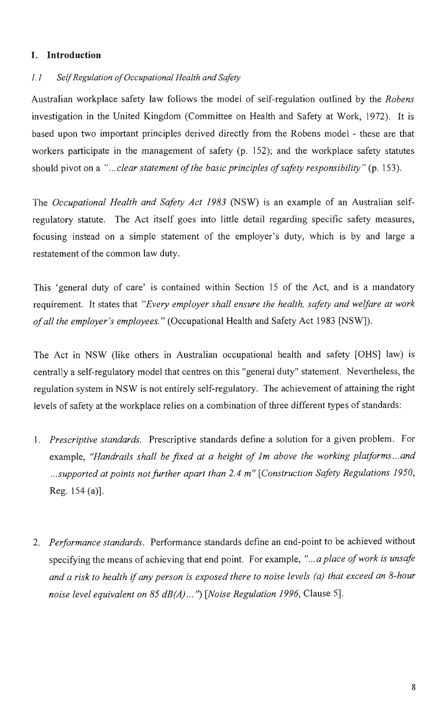#### **1. Introduction**

#### 1.1 Self Regulation of Occupational Health and Safety

Australian workplace safety law follows the model of self-regulation outlined by the Robens investigation in the United Kingdom (Committee on Health and Safety at Work, 1972). It is based upon two important principles derived directly from the Robens model - these are that workers participate in the management of safety (p. 152); and the workplace safety statutes should pivot on a "...clear statement of the basic principles of safety responsibility" (p. 153).

The Occupational Health and Safety Act 1983 (NSW) is an example of an Australian selfregulatory statute. The Act itself goes into little detail regarding specific safety measures, focusing instead on a simple statement of the employer's duty, which is by and large a restatement of the common law duty.

This 'general duty of care' is contained within Section 15 of the Act, and is a mandatory requirement. It states that "Every employer shall ensure the health, safety and welfare at work of all the employer's employees" (Occupational Health and Safety Act 1983 [NSW]).

The Act in NSW (like others in Australian occupational health and safety [OHS] law) is centrally a self-regulatory model that centres on this "general duty" statement. Nevertheless, the regulation system in NSW is not entirely self-regulatory. The achievement of attaining the right levels of safety at the workplace relies on a combination of three different types of standards:

- 1. Prescriptive standards. Prescriptive standards define a solution for a given problem. For example, "Handrails shall be fixed at a height of 1m above the working platforms...and ...supported at points not further apart than 2.4 m" [Construction Safety Regulations 1950, Reg. 154(a)].
- 2. Performance standards. Performance standards define an end-point to be achieved without specifying the means of achieving that end point. For example, "... a place of work is unsafe and a risk to health if any person is exposed there to noise levels (a) that exceed an 8-hour noise level equivalent on 85 dB(A)...") [Noise Regulation 1996, Clause 5].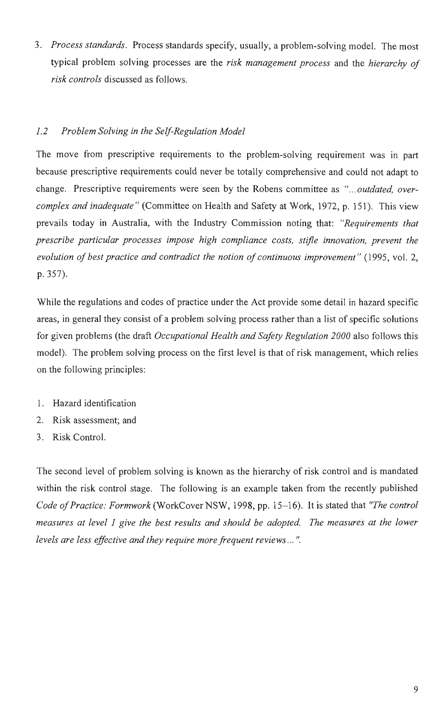3. Process standards. Process standards specify, usually, a problem-solving model. The most typical problem solving processes are the risk management process and the hierarchy of risk controls discussed as follows.

#### 1.2 Problem Solving in the Self-Regulation Model

The move from prescriptive requirements to the problem-solving requirement was in part because prescriptive requirements could never be totally comprehensive and could not adapt to change. Prescriptive requirements were seen by the Robens committee as "...outdated, overcomplex and inadequate" (Committee on Health and Safety at Work, 1972, p. 151). This view prevails today in Australia, with the Industry Commission noting that: "Requirements that prescribe particular processes impose high compliance costs, stifle innovation, prevent the evolution of best practice and contradict the notion of continuous improvement" (1995, vol. 2, p. 357).

While the regulations and codes of practice under the Act provide some detail in hazard specific areas, in general they consist of a problem solving process rather than a list of specific solutions for given problems (the draft Occupational Health and Safety Regulation 2000 also follows this model). The problem solving process on the first level is that of risk management, which relies on the following principles:

- 1. Hazard identification
- 2. Risk assessment; and
- 3. Risk Control.

The second level of problem solving is known as the hierarchy of risk control and is mandated within the risk control stage. The following is an example taken from the recently published Code of Practice: Formwork (WorkCover NSW, 1998, pp. 15-16). It is stated that "The control measures at level 1 give the best results and should be adopted. The measures at the lower levels are less effective and they require more frequent reviews... ".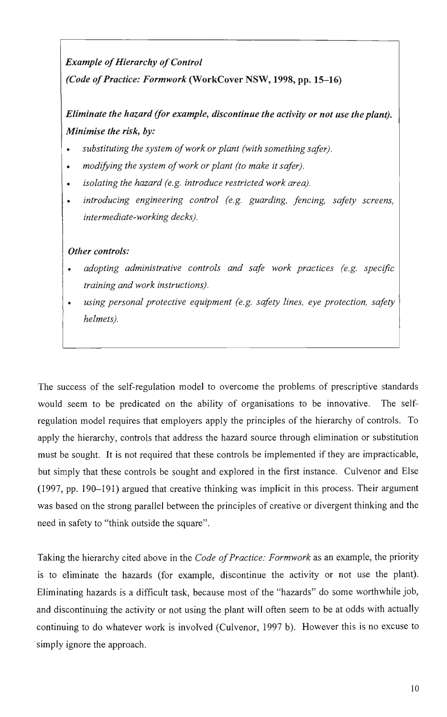### **Example of Hierarchy of Control (Code of Practice: Formwork (WorkCover NSW , 1998, pp. 15-16)**

### **Eliminate the hazard (for example, discontinue the activity or not use the plant). Minimise the risk, by:**

- substituting the system of work or plant (with something safer).
- modifying the system of work or plant (to make it safer).
- isolating the hazard (e.g. introduce restricted work area).
- introducing engineering control (e.g. guarding, fencing, safety screens, intermediate-working decks).

#### **Other controls:**

- adopting administrative controls and safe work practices (e.g. specific training and work instructions).
- using personal protective equipment (e.g. safety lines, eye protection, safety helmets).

The success of the self-regulation model to overcome the problems of prescriptive standards would seem to be predicated on the ability of organisations to be innovative. The selfregulation model requires that employers apply the principles of the hierarchy of controls. To apply the hierarchy, controls that address the hazard source through elimination or substitution must be sought. It is not required that these controls be implemented if they are impracticable, but simply that these controls be sought and explored in the first instance. Culvenor and Else (1997, pp. 190-191) argued that creative thinking was implicit in this process. Their argument was based on the strong parallel between the principles of creative or divergent thinking and the need in safety to "think outside the square".

Taking the hierarchy cited above in the *Code of Practice: Formwork* as an example, the priority is to eliminate the hazards (for example, discontinue the activity or not use the plant). Eliminating hazards is a difficult task, because most of the "hazards" do some worthwhile job, and discontinuing the activity or not using the plant will often seem to be at odds with actually continuing to do whatever work is involved (Culvenor, 1997 b). However this is no excuse to simply ignore the approach.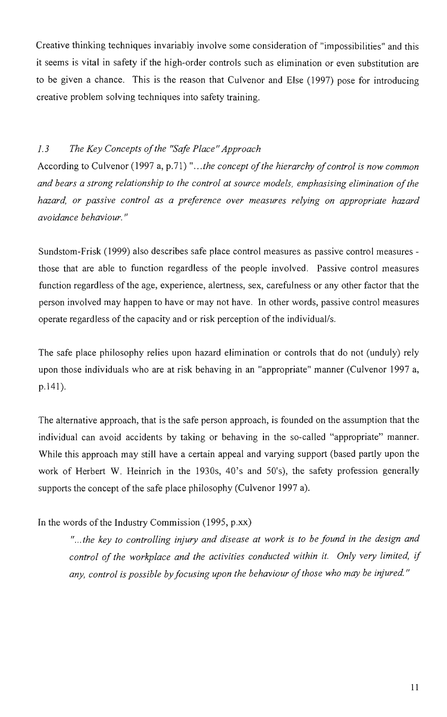Creative thinking techniques invariably involve some consideration of "impossibilities" and this it seems is vital in safety if the high-order controls such as elimination or even substitution are to be given a chance. This is the reason that Culvenor and Else (1997) pose for introducing creative problem solving techniques into safety training.

#### 1.3 The Key Concepts of the "Safe Place" Approach

According to Culvenor (1997 a, p.71) ".. .the concept of the hierarchy of control is now common and bears a strong relationship to the control at source models, emphasising elimination of the hazard, or passive control as a preference over measures relying on appropriate hazard avoidance behaviour."

Sundstom-Frisk (1999) also describes safe place control measures as passive control measures those that are able to function regardless of the people involved. Passive control measures function regardless of the age, experience, alertness, sex, carefulness or any other factor that the person involved may happen to have or may not have. In other words, passive control measures operate regardless of the capacity and or risk perception of the individual/s.

The safe place philosophy relies upon hazard elimination or controls that do not (unduly) rely upon those individuals who are at risk behaving in an "appropriate" manner (Culvenor 1997 a, p.141).

The alternative approach, that is the safe person approach, is founded on the assumption that the individual can avoid accidents by taking or behaving in the so-called "appropriate" manner. While this approach may still have a certain appeal and varying support (based partly upon the work of Herbert W. Heinrich in the 1930s, 40's and 50's), the safety profession generally supports the concept of the safe place philosophy (Culvenor 1997 a).

In the words of the Industry Commission (1995, p.xx)

"...the key to controlling injury and disease at work is to be found in the design and control of the workplace and the activities conducted within it. Only very limited, if any, control is possible by focusing upon the behaviour of those who may be injured."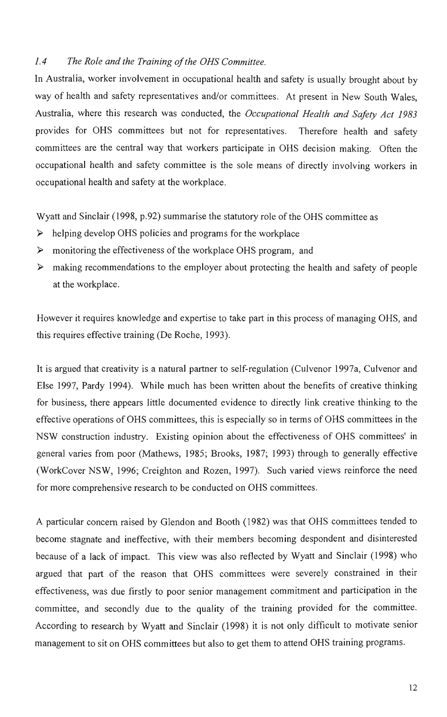#### 1.4 The Role and the Training of the OHS Committee.

In Australia, worker involvement in occupational health and safety is usually brought about by way of health and safety representatives and/or committees. At present in New South Wales, Australia, where this research was conducted, the Occupational Health and Safety Act 1983 provides for OHS committees but not for representatives. Therefore health and safety committees are the central way that workers participate in OHS decision making. Often the occupational health and safety committee is the sole means of directly involving workers in occupational health and safety at the workplace.

Wyatt and Sinclair (1998, p.92) summarise the statutory role of the OHS committee as

- $\triangleright$  helping develop OHS policies and programs for the workplace
- $\triangleright$  monitoring the effectiveness of the workplace OHS program, and
- $\triangleright$  making recommendations to the employer about protecting the health and safety of people at the workplace.

However it requires knowledge and expertise to take part in this process of managing OHS, and this requires effective training (De Roche, 1993).

It is argued that creativity is a natural partner to self-regulation (Culvenor 1997a, Culvenor and Else 1997, Pardy 1994). While much has been written about the benefits of creative thinking for business, there appears little documented evidence to directly link creative thinking to the effective operations of OHS committees, this is especially so in terms of OHS committees in the NSW construction industry. Existing opinion about the effectiveness of OHS committees' in general varies from poor (Mathews, 1985; Brooks, 1987; 1993) through to generally effective (WorkCover NSW, 1996; Creighton and Rozen, 1997). Such varied views reinforce the need for more comprehensive research to be conducted on OHS committees.

A particular concern raised by Glendon and Booth (1982) was that OHS committees tended to become stagnate and ineffective, with their members becoming despondent and disinterested because of a lack of impact. This view was also reflected by Wyatt and Sinclair (1998) who argued that part of the reason that OHS committees were severely constrained in their effectiveness, was due firstly to poor senior management commitment and participation in the committee, and secondly due to the quality of the training provided for the committee. According to research by Wyatt and Sinclair (1998) it is not only difficult to motivate senior management to sit on OHS committees but also to get them to attend OHS training programs.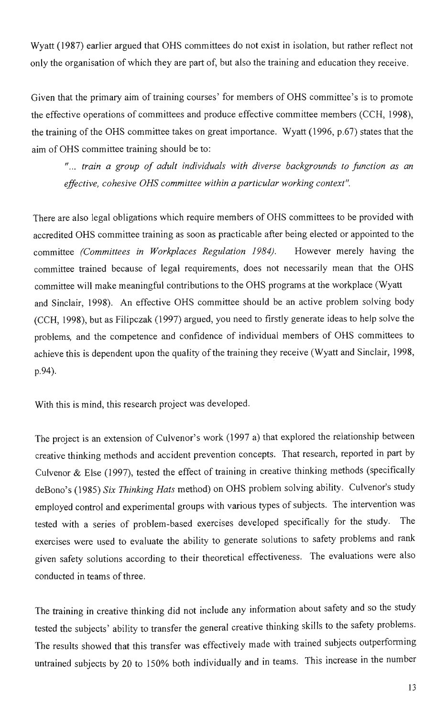Wyatt (1987) earlier argued that OHS committees do not exist in isolation, but rather reflect not only the organisation of which they are part of, but also the training and education they receive.

Given that the primary aim of training courses' for members of OHS committee's is to promote the effective operations of committees and produce effective committee members (CCH, 1998), the training of the OHS committee takes on great importance. Wyatt (1996, p.67) states that the aim of OHS committee training should be to:

"... train a group of adult individuals with diverse backgrounds to junction as an effective, cohesive OHS committee within a particular working context".

There are also legal obligations which require members of OHS committees to be provided with accredited OHS committee training as soon as practicable after being elected or appointed to the committee (Committees in Workplaces Regulation 1984). However merely having the committee trained because of legal requirements, does not necessarily mean that the OHS committee will make meaningful contributions to the OHS programs at the workplace (Wyatt and Sinclair, 1998). An effective OHS committee should be an active problem solving body (CCH, 1998), but as Filipczak (1997) argued, you need to firstly generate ideas to help solve the problems, and the competence and confidence of individual members of OHS committees to achieve this is dependent upon the quality of the training they receive (Wyatt and Sinclair, 1998, p.94).

With this is mind, this research project was developed.

The project is an extension of Culvenor's work (1997 a) that explored the relationship between creative thinking methods and accident prevention concepts. That research, reported in part by Culvenor & Else (1997), tested the effect of training in creative thinking methods (specifically deBono's (1985) Six Thinking Hats method) on OHS problem solving ability. Culvenor's study employed control and experimental groups with various types of subjects. The intervention was tested with a series of problem-based exercises developed specifically for the study. The exercises were used to evaluate the ability to generate solutions to safety problems and rank given safety solutions according to their theoretical effectiveness. The evaluations were also conducted in teams of three.

The training in creative thinking did not include any information about safety and so the study tested the subjects' ability to transfer the general creative thinking skills to the safety problems. The results showed that this transfer was effectively made with trained subjects outperforming untrained subjects by 20 to 150% both individually and in teams. This increase in the number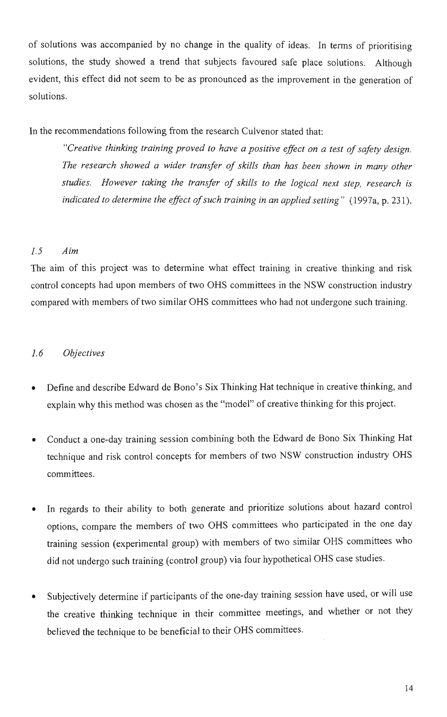of solutions was accompanied by no change in the quality of ideas. In terms of prioritising solutions, the study showed a trend that subjects favoured safe place solutions. Although evident, this effect did not seem to be as pronounced as the improvement in the generation of solutions.

In the recommendations following from the research Culvenor stated that:

"Creative thinking training proved to have a positive effect on a test of safety design. The research showed a wider transfer of skills than has been shown in many other studies. However taking the transfer of skills to the logical next step, research is indicated to determine the effect of such training in an applied setting" (1997a, p. 231).

#### 1.5 Aim

The aim of this project was to determine what effect training in creative thinking and risk control concepts had upon members of two OHS committees in the NSW construction industry compared with members of two similar OHS committees who had not undergone such training.

#### 1.6 Objectives

- Define and describe Edward de Bono's Six Thinking Hat technique in creative thinking, and explain why this method was chosen as the "model" of creative thinking for this project.
- Conduct a one-day training session combining both the Edward de Bono Six Thinking Hat technique and risk control concepts for members of two NSW construction industry OHS committees.
- In regards to their ability to both generate and prioritize solutions about hazard control options, compare the members of two OHS committees who participated in the one day training session (experimental group) with members of two similar OHS committees who did not undergo such training (control group) via four hypothetical OHS case studies.
- Subjectively determine if participants of the one-day training session have used, or will use the creative thinking technique in their committee meetings, and whether or not they believed the technique to be beneficial to their OHS committees.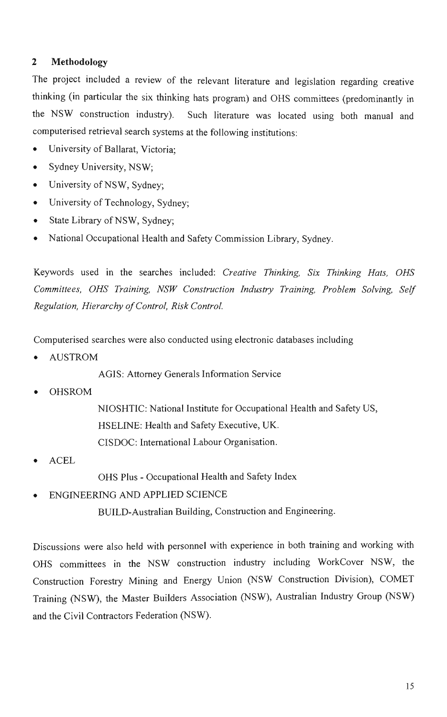#### **2 Methodology**

The project included a review of the relevant literature and legislation regarding creative thinking (in particular the six thinking hats program) and OHS committees (predominantly in the NSW construction industry). Such literature was located using both manual and computerised retrieval search systems at the following institutions:

- University of Ballarat, Victoria;
- Sydney University, NSW;
- University of NSW, Sydney;
- University of Technology, Sydney;
- State Library of NSW, Sydney;
- National Occupational Health and Safety Commission Library, Sydney.

Keywords used in the searches included: Creative Thinking, Six Thinking Hats, OHS Committees, OHS Training, NSW Construction Industry Training, Problem Solving, Self Regulation, Hierarchy of Control, Risk Control.

Computerised searches were also conducted using electronic databases including

**AUSTROM** 

AGIS: Attorney Generals Information Service

• OHSROM

NIOSHTIC: National Institute for Occupational Health and Safety US, HSELINE: Health and Safety Executive, UK. CISDOC: International Labour Organisation.

**ACEL** 

OHS Plus - Occupational Health and Safety Index

ENGINEERING AND APPLIED SCIENCE

BUILD-Australian Building, Construction and Engineering.

Discussions were also held with personnel with experience in both training and working with OHS committees in the NSW construction industry including WorkCover NSW, the Construction Forestry Mining and Energy Union (NSW Construction Division), COMET Training (NSW), the Master Builders Association (NSW), Australian Industry Group (NSW) and the Civil Contractors Federation (NSW).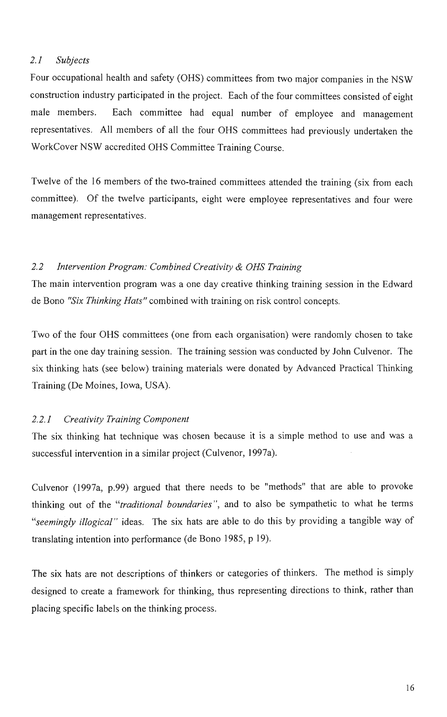#### 2.1 Subjects

Four occupational health and safety (OHS) committees from two major companies in the NSW construction industry participated in the project. Each of the four committees consisted of eight male members. Each committee had equal number of employee and management representatives. All members of all the four OHS committees had previously undertaken the WorkCover NSW accredited OHS Committee Training Course.

Twelve of the 16 members of the two-trained committees attended the training (six from each committee). Of the twelve participants, eight were employee representatives and four were management representatives.

#### 2.2 Intervention Program: Combined Creativity & OHS Training

The main intervention program was a one day creative thinking training session in the Edward de Bono "Six Thinking Hats" combined with training on risk control concepts.

Two of the four OHS committees (one from each organisation) were randomly chosen to take part in the one day training session. The training session was conducted by John Culvenor. The six thinking hats (see below) training materials were donated by Advanced Practical Thinking Training (De Moines, Iowa, USA) .

#### 2.2.1 Creativity Training Component

The six thinking hat technique was chosen because it is a simple method to use and was a successful intervention in a similar project (Culvenor, 1997a).

Culvenor (1997a, p.99) argued that there needs to be "methods" that are able to provoke thinking out of the "*traditional boundaries*", and to also be sympathetic to what he terms "seemingly illogical" ideas. The six hats are able to do this by providing a tangible way of translating intention into performance (de Bono 1985, p 19).

The six hats are not descriptions of thinkers or categories of thinkers. The method is simply designed to create a framework for thinking, thus representing directions to think, rather than placing specific labels on the thinking process.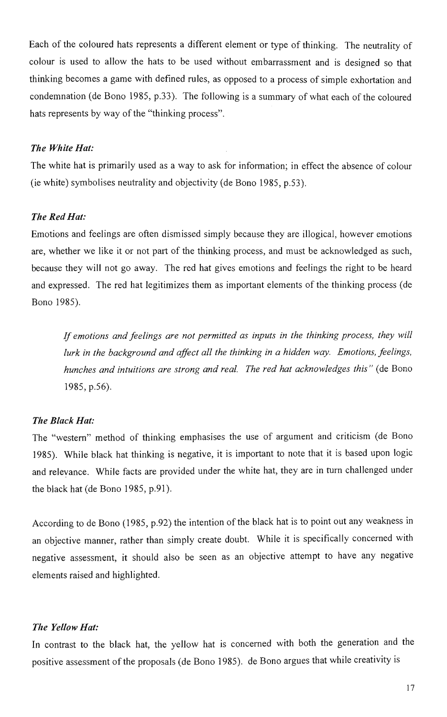Each of the coloured hats represents a different element or type of thinking. The neutrality of colour is used to allow the hats to be used without embarrassment and is designed so that thinking becomes a game with defined rules, as opposed to a process of simple exhortation and condemnation (de Bono 1985, p.33). The following is a summary of what each of the coloured hats represents by way of the "thinking process".

#### **The White Hat:**

The white hat is primarily used as a way to ask for information; in effect the absence of colour (ie white) symbolises neutrality and objectivity (de Bono 1985, p.53).

#### **The Red Hat:**

Emotions and feelings are often dismissed simply because they are illogical, however emotions are, whether we like it or not part of the thinking process, and must be acknowledged as such, because they will not go away. The red hat gives emotions and feelings the right to be heard and expressed. The red hat legitimizes them as important elements of the thinking process (de Bono 1985).

If emotions and feelings are not permitted as inputs in the thinking process, they will lurk in the background and affect all the thinking in a hidden way. Emotions, feelings, hunches and intuitions are strong and real. The red hat acknowledges this " (de Bono 1985, **p.56).** 

#### **The Black Hat:**

The "western" method of thinking emphasises the use of argument and criticism (de Bono 1985). While black hat thinking is negative, it is important to note that it is based upon logic and relevance. While facts are provided under the white hat, they are in turn challenged under the black hat (de Bono 1985, p.91).

According to de Bono (1985, p.92) the intention of the black hat is to point out any weakness in an objective manner, rather than simply create doubt. While it is specifically concerned with negative assessment, it should also be seen as an objective attempt to have any negative elements raised and highlighted.

#### **The Yellow Hat:**

In contrast to the black hat, the yellow hat is concerned with both the generation and the positive assessment of the proposals (de Bono 1985). de Bono argues that while creativity is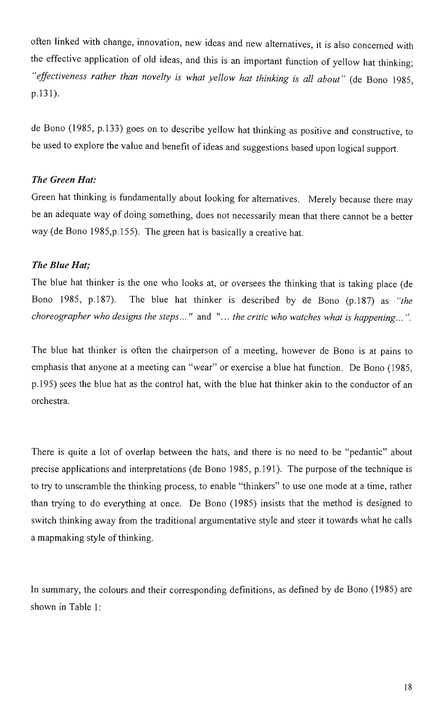often linked with change, innovation, new ideas and new alternatives, it is also concerned with the effective application of old ideas, and this is an important function of yellow hat thinking; "effectiveness rather than novelty is what yellow hat thinking is all about" (de Bono 1985, p.131).

de Bono (1985, p. 133) goes on to describe yellow hat thinking as positive and constructive, to be used to explore the value and benefit of ideas and suggestions based upon logical support.

#### The Green Hat:

Green hat thinking is fundamentally about looking for alternatives. Merely because there may be an adequate way of doing something, does not necessarily mean that there cannot be a better way (de Bono 1985,p.155). The green hat is basically a creative hat.

#### The Blue Hat;

The blue hat thinker is the one who looks at, or oversees the thinking that is taking place (de Bono 1985, p.187). The blue hat thinker is described by de Bono  $(p.187)$  as "the choreographer who designs the steps... " and "... the critic who watches what is happening... ".

The blue hat thinker is often the chairperson of a meeting, however de Bono is at pains to emphasis that anyone at a meeting can "wear" or exercise a blue hat function. De Bono (1985, p. 195) sees the blue hat as the control hat, with the blue hat thinker akin to the conductor of an orchestra.

There is quite a lot of overlap between the hats, and there is no need to be "pedantic" about precise applications and interpretations (de Bono 1985, p. 191). The purpose of the technique is to try to unscramble the thinking process, to enable "thinkers" to use one mode at a time, rather than trying to do everything at once. De Bono (1985) insists that the method is designed to switch thinking away from the traditional argumentative style and steer it towards what he calls a mapmaking style of thinking.

In summary, the colours and their corresponding definitions, as defined by de Bono (1985) are shown in Table 1: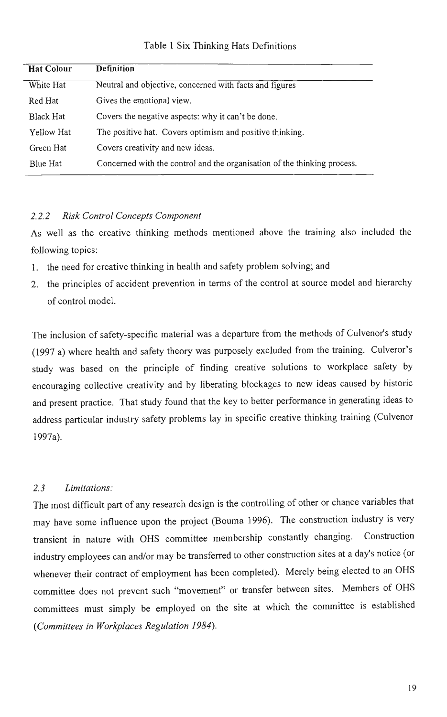#### Table 1 Six Thinking Hats Definitions

| <b>Hat Colour</b> | <b>Definition</b>                                                        |
|-------------------|--------------------------------------------------------------------------|
| White Hat         | Neutral and objective, concerned with facts and figures                  |
| Red Hat           | Gives the emotional view.                                                |
| <b>Black Hat</b>  | Covers the negative aspects: why it can't be done.                       |
| Yellow Hat        | The positive hat. Covers optimism and positive thinking.                 |
| Green Hat         | Covers creativity and new ideas.                                         |
| Blue Hat          | Concerned with the control and the organisation of the thinking process. |

#### 2.2.2 Risk Control Concepts Component

As well as the creative thinking methods mentioned above the training also included the following topics:

- 1. the need for creative thinking in health and safety problem solving; and
- 2. the principles of accident prevention in terms of the control at source model and hierarchy of control model.

The inclusion of safety-specific material was a departure from the methods of Culvenor's study (1997 a) where health and safety theory was purposely excluded from the training. Culveror's study was based on the principle of finding creative solutions to workplace safety by encouraging collective creativity and by liberating blockages to new ideas caused by historic and present practice. That study found that the key to better performance in generating ideas to address particular industry safety problems lay in specific creative thinking training (Culvenor 1997a).

#### 2.3 Limitations:

The most difficult part of any research design is the controlling of other or chance variables that may have some influence upon the project (Bouma 1996). The construction industry is very transient in nature with OHS committee membership constantly changing. Construction industry employees can and/or may be transferred to other construction sites at a day's notice (or whenever their contract of employment has been completed). Merely being elected to an OHS committee does not prevent such "movement" or transfer between sites. Members of OHS committees must simply be employed on the site at which the committee is established (Committees in Workplaces Regulation 1984).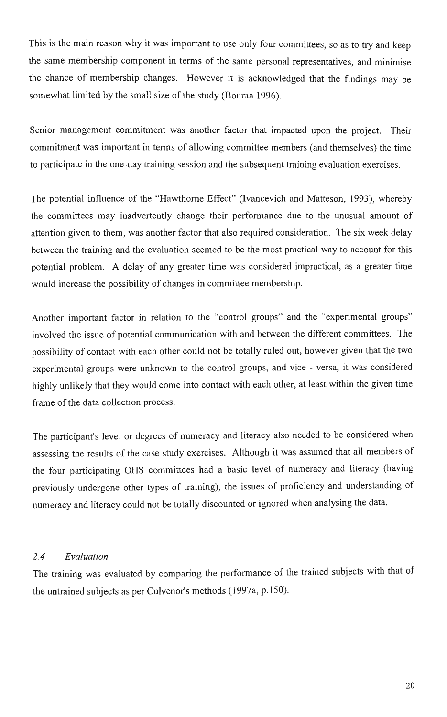This is the main reason why it was important to use only four committees, so as to try and keep the same membership component in terms of the same personal representatives, and minimise the chance of membership changes. However it is acknowledged that the findings may be somewhat limited by the small size of the study (Bouma 1996).

Senior management commitment was another factor that impacted upon the project. Their commitment was important in terms of allowing committee members (and themselves) the time to participate in the one-day training session and the subsequent training evaluation exercises.

The potential influence of the "Hawthorne Effect" (Ivancevich and Matteson, 1993), whereby the committees may inadvertently change their performance due to the unusual amount of attention given to them, was another factor that also required consideration. The six week delay between the training and the evaluation seemed to be the most practical way to account for this potential problem. A delay of any greater time was considered impractical, as a greater time would increase the possibility of changes in committee membership.

Another important factor in relation to the "control groups" and the "experimental groups" involved the issue of potential communication with and between the different committees. The possibility of contact with each other could not be totally ruled out, however given that the two experimental groups were unknown to the control groups, and vice - versa, it was considered highly unlikely that they would come into contact with each other, at least within the given time frame of the data collection process.

The participant's level or degrees of numeracy and literacy also needed to be considered when assessing the results of the case study exercises. Although it was assumed that all members of the four participating OHS committees had a basic level of numeracy and literacy (having previously undergone other types of training), the issues of proficiency and understanding of numeracy and literacy could not be totally discounted or ignored when analysing the data.

#### 2.4 Evaluation

The training was evaluated by comparing the performance of the trained subjects with that of the untrained subjects as per Culvenor's methods (1997a, p. 150).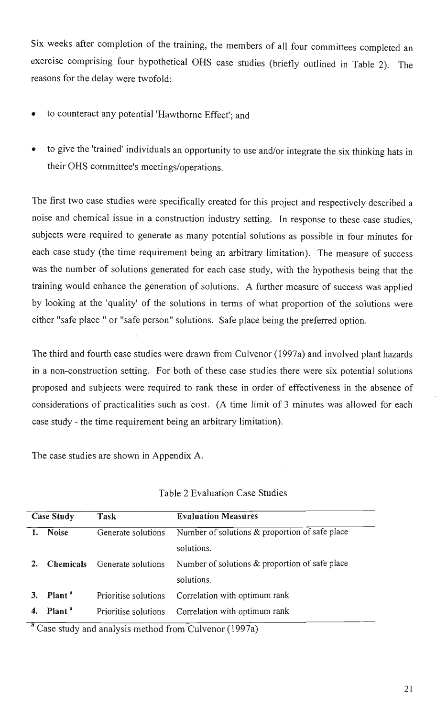Six weeks after completion of the training, the members of all four committees completed an exercise comprising four hypothetical OHS case studies (briefly outlined in Table 2). The reasons for the delay were twofold:

- to counteract any potential 'Hawthorne Effect'; and
- to give the 'trained' individuals an opportunity to use and/or integrate the six thinking hats in their OHS committee's meetings/operations.

The first two case studies were specifically created for this project and respectively described a noise and chemical issue in a construction industry setting. In response to these case studies, subjects were required to generate as many potential solutions as possible in four minutes for each case study (the time requirement being an arbitrary limitation). The measure of success was the number of solutions generated for each case study, with the hypothesis being that the training would enhance the generation of solutions. A further measure of success was applied by looking at the 'quality' of the solutions in terms of what proportion of the solutions were either "safe place " or "safe person" solutions. Safe place being the preferred option.

The third and fourth case studies were drawn from Culvenor (1997a) and involved plant hazards in a non-construction setting. For both of these case studies there were six potential solutions proposed and subjects were required to rank these in order of effectiveness in the absence of considerations of practicalities such as cost. (A time limit of 3 minutes was allowed for each case study - the time requirement being an arbitrary limitation).

The case studies are shown in Appendix A.

| <b>Case Study</b> |                                        | Task                 | <b>Evaluation Measures</b>                         |  |  |  |  |
|-------------------|----------------------------------------|----------------------|----------------------------------------------------|--|--|--|--|
|                   | <b>Noise</b><br>Generate solutions     |                      | Number of solutions & proportion of safe place     |  |  |  |  |
|                   |                                        |                      | solutions.                                         |  |  |  |  |
| 2.                | <b>Chemicals</b><br>Generate solutions |                      | Number of solutions $\&$ proportion of safe place  |  |  |  |  |
|                   |                                        |                      | solutions.                                         |  |  |  |  |
| 3.                | Plant <sup>a</sup>                     | Prioritise solutions | Correlation with optimum rank                      |  |  |  |  |
|                   | Plant <sup>a</sup>                     |                      | Prioritise solutions Correlation with optimum rank |  |  |  |  |

#### Table 2 Eva $\Gamma$

<sup>a</sup> Case study and analysis method from Culvenor (1997a)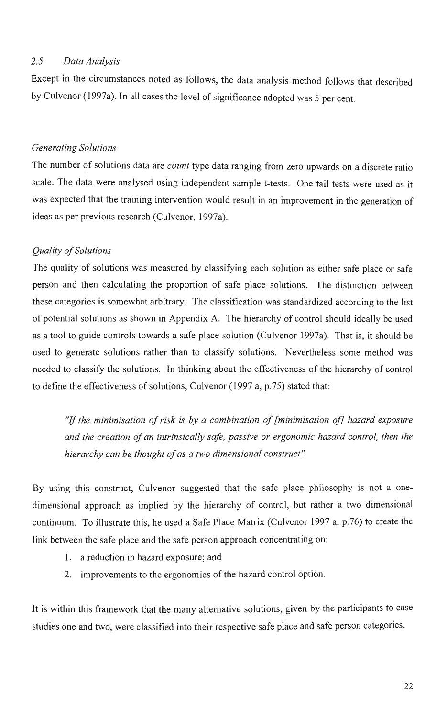#### 2.5 Data Analysis

Except in the circumstances noted as follows, the data analysis method follows that described by Culvenor (1997a). In all cases the level of significance adopted was 5 per cent.

#### Generating Solutions

The number of solutions data are *count* type data ranging from zero upwards on a discrete ratio scale. The data were analysed using independent sample t-tests. One tail tests were used as it was expected that the training intervention would result in an improvement in the generation of ideas as per previous research (Culvenor, 1997a).

#### Quality of Solutions

The quality of solutions was measured by classifying each solution as either safe place or safe person and then calculating the proportion of safe place solutions. The distinction between these categories is somewhat arbitrary. The classification was standardized according to the list of potential solutions as shown in Appendix A. The hierarchy of control should ideally be used as a tool to guide controls towards a safe place solution (Culvenor 1997a). That is, it should be used to generate solutions rather than to classify solutions. Nevertheless some method was needed to classify the solutions. In thinking about the effectiveness of the hierarchy of control to define the effectiveness of solutions, Culvenor (1997 a, p.75) stated that:

"If the minimisation of risk is by a combination of [minimisation of] hazard exposure and the creation of an intrinsically safe, passive or ergonomic hazard control, then the hierarchy can be thought of as a two dimensional construct".

By using this construct, Culvenor suggested that the safe place philosophy is not a onedimensional approach as implied by the hierarchy of control, but rather a two dimensional continuum. To illustrate this, he used a Safe Place Matrix (Culvenor 1997 a, p.76) to create the link between the safe place and the safe person approach concentrating on:

- 1. a reduction in hazard exposure; and
- 2. improvements to the ergonomics of the hazard control option.

It is within this framework that the many alternative solutions, given by the participants to case studies one and two, were classified into their respective safe place and safe person categories.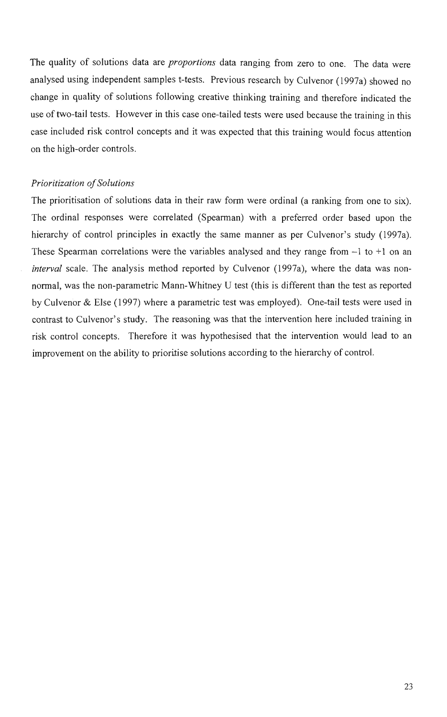The quality of solutions data are *proportions* data ranging from zero to one. The data were analysed using independent samples t-tests. Previous research by Culvenor (1997a) showed no change in quality of solutions following creative thinking training and therefore indicated the use of two-tail tests. However in this case one-tailed tests were used because the training in this case included risk control concepts and it was expected that this training would focus attention on the high-order controls.

#### Prioritization of Solutions

The prioritisation of solutions data in their raw form were ordinal (a ranking from one to six). The ordinal responses were correlated (Spearman) with a preferred order based upon the hierarchy of control principles in exactly the same manner as per Culvenor's study (1997a). These Spearman correlations were the variables analysed and they range from  $-1$  to  $+1$  on an interval scale. The analysis method reported by Culvenor (1997a), where the data was nonnormal, was the non-parametric Mann-Whitney U test (this is different than the test as reported by Culvenor & Else (1997) where a parametric test was employed). One-tail tests were used in contrast to Culvenor's study. The reasoning was that the intervention here included training in risk control concepts. Therefore it was hypothesised that the intervention would lead to an improvement on the ability to prioritise solutions according to the hierarchy of control.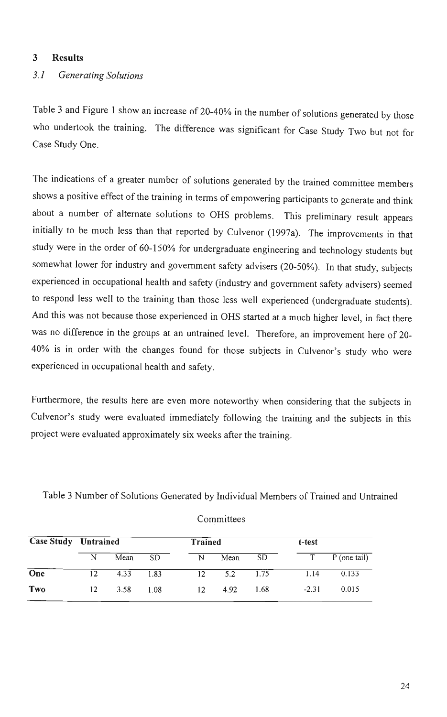#### **3 Results**

### 3.1 Generating Solutions

Table 3 and Figure 1 show an increase of 20-40% in the number of solutions generated by those who undertook the training. The difference was significant for Case Study Two but not for Case Study One.

The indications of a greater number of solutions generated by the trained committee members shows a positive effect of the training in terms of empowering participants to generate and think about a number of alternate solutions to OHS problems. This preliminary result appears initially to be much less than that reported by Culvenor (1997a). The improvements in that study were in the order of 60-150% for undergraduate engineering and technology students but somewhat lower for industry and government safety advisers (20-50%). In that study, subjects experienced in occupational health and safety (industry and government safety advisers) seemed to respond less well to the training than those less well experienced (undergraduate students). And this was not because those experienced in OHS started at a much higher level, in fact there was no difference in the groups at an untrained level. Therefore, an improvement here of 20- 40% is in order with the changes found for those subjects in Culvenor's study who were experienced in occupational health and safety.

Furthermore, the results here are even more noteworthy when considering that the subjects in Culvenor's study were evaluated immediately following the training and the subjects in this project were evaluated approximately six weeks after the training.

Table 3 Number of Solutions Generated by Individual Members of Trained and Untrained

| <b>Case Study</b> Untrained |     |      | <b>Trained</b> |                 |      | t-test |         |              |
|-----------------------------|-----|------|----------------|-----------------|------|--------|---------|--------------|
|                             | N   | Mean | SD.            | N               | Mean | SD.    | T.      | P (one tail) |
| $\overline{One}$            | 12. | 4.33 | 1.83           | 12 <sup>2</sup> | 5.2  | 1.75   | 1.14    | 0.133        |
| Two                         | 12  | 3.58 | 1.08           | 12              | 4.92 | 1.68   | $-2.31$ | 0.015        |

Committees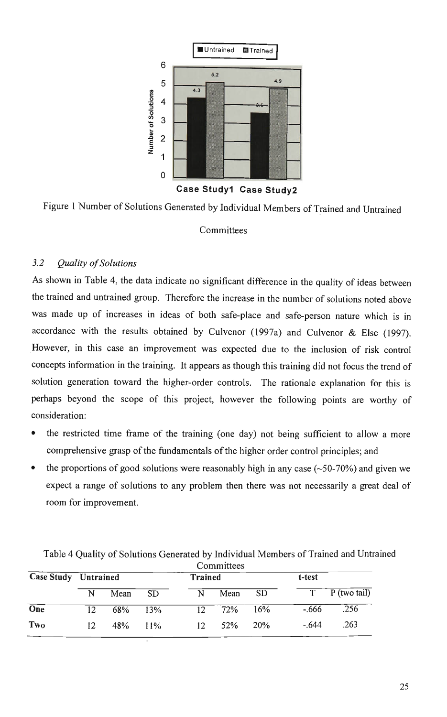

#### $3.2$ Quality of Solutions

As shown in Table 4, the data indicate no significant difference in the quality of ideas between the trained and untrained group. Therefore the increase in the number of solutions noted above was made up of increases in ideas of both safe-place and safe-person nature which is in accordance with the results obtained by Culvenor (1997a) and Culvenor & Else (1997). However, in this case an improvement was expected due to the inclusion of risk control concepts information in the training. It appears as though this training did not focus the trend of solution generation toward the higher-order controls. The rationale explanation for this is perhaps beyond the scope of this project, however the following points are worthy of consideration:

- the restricted time frame of the training (one day) not being sufficient to allow a more comprehensive grasp of the fundamentals of the higher order control principles; and
- the proportions of good solutions were reasonably high in any case  $(\sim 50-70%)$  and given we expect a range of solutions to any problem then there was not necessarily a great deal of room for improvement.

|                  | Committees                  |      |           |                 |                     |            |         |                  |  |
|------------------|-----------------------------|------|-----------|-----------------|---------------------|------------|---------|------------------|--|
|                  | <b>Case Study Untrained</b> |      |           | <b>Trained</b>  |                     |            | t-test  |                  |  |
|                  | N                           | Mean | <b>SD</b> | N               | Mean                | -SD        |         | $T$ P (two tail) |  |
| $\overline{One}$ | 12                          | 68%  | 13%       |                 | $\frac{12}{12}$ 72% | 16%        | $-.666$ | .256             |  |
| Two              | 12                          | 48%  | $11\%$    | 12 <sub>1</sub> | 52%                 | <b>20%</b> | $-.644$ | .263             |  |

Table 4 Quality of Solutions Generated by Individual Members of Trained and Untrained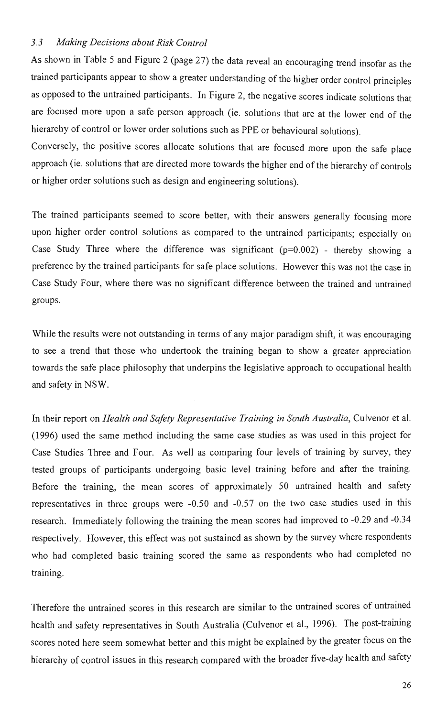#### 3.3 Making Decisions about Risk Control

As shown in Table 5 and Figure 2 (page 27) the data reveal an encouraging trend insofar as the trained participants appear to show a greater understanding of the higher order control principles as opposed to the untrained participants. In Figure 2, the negative scores indicate solutions that are focused more upon a safe person approach (ie. solutions that are at the lower end of the hierarchy of control or lower order solutions such as PPE or behavioural solutions).

Conversely, the positive scores allocate solutions that are focused more upon the safe place approach (ie. solutions that are directed more towards the higher end of the hierarchy of controls or higher order solutions such as design and engineering solutions).

The trained participants seemed to score better, with their answers generally focusing more upon higher order control solutions as compared to the untrained participants; especially on Case Study Three where the difference was significant  $(p=0.002)$  - thereby showing a preference by the trained participants for safe place solutions. However this was not the case in Case Study Four, where there was no significant difference between the trained and untrained groups.

While the results were not outstanding in terms of any major paradigm shift, it was encouraging to see a trend that those who undertook the training began to show a greater appreciation towards the safe place philosophy that underpins the legislative approach to occupational health and safety in NSW.

In their report on Health and Safety Representative Training in South Australia, Culvenor et al. (1996) used the same method including the same case studies as was used in this project for Case Studies Three and Four. As well as comparing four levels of training by survey, they tested groups of participants undergoing basic level training before and after the training. Before the training, the mean scores of approximately 50 untrained health and safety representatives in three groups were -0.50 and -0.57 on the two case studies used in this research. Immediately following the training the mean scores had improved to -0.29 and -0.34 respectively. However, this effect was not sustained as shown by the survey where respondents who had completed basic training scored the same as respondents who had completed no training.

Therefore the untrained scores in this research are similar to the untrained scores of untrained health and safety representatives in South Australia (Culvenor et al., 1996). The post-training scores noted here seem somewhat better and this might be explained by the greater focus on the hierarchy of control issues in this research compared with the broader five-day health and safety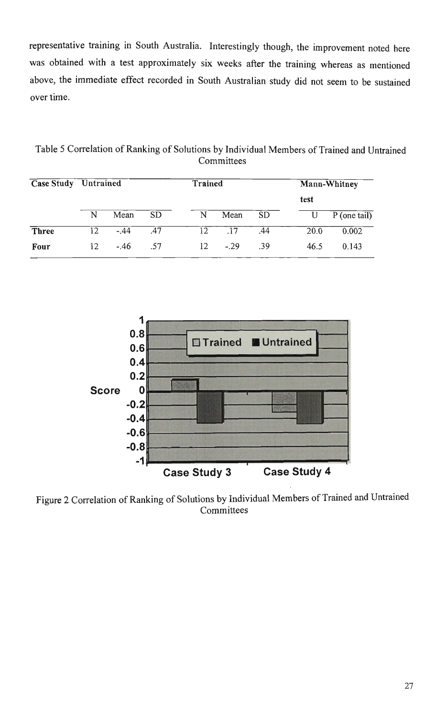representative training in South Australia. Interestingly though, the improvement noted here was obtained with a test approximately six weeks after the training whereas as mentioned above, the immediate effect recorded in South Australian study did not seem to be sustained over time.

Table 5 Correlation of Ranking of Solutions by Individual Members of Trained and Untrained Committees

| <b>Case Study</b> Untrained |    |        |           | Trained |       |           |      | Mann-Whitney   |  |  |
|-----------------------------|----|--------|-----------|---------|-------|-----------|------|----------------|--|--|
|                             |    |        |           |         |       |           | test |                |  |  |
|                             | N  | Mean   | <b>SD</b> | N       | Mean  | <b>SD</b> |      | $P$ (one tail) |  |  |
| Three                       | 12 | $-.44$ | .47       | 12      | .17   | .44       | 20.0 | 0.002          |  |  |
| Four                        | 12 | $-46$  | .57       | 12      | $-29$ | .39       | 46.5 | 0.143          |  |  |



Figure 2 Correlation of Ranking of Solutions by Individual Members of Trained and Untrained **Committees**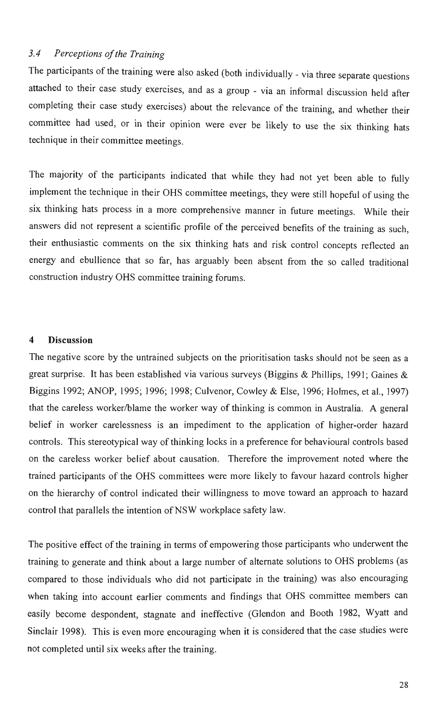#### 3.4 Perceptions of the Training

The participants of the training were also asked (both individually - via three separate questions attached to their case study exercises, and as a group - via an informal discussion held after completing their case study exercises) about the relevance of the training, and whether their committee had used, or in their opinion were ever be likely to use the six thinking hats technique in their committee meetings.

The majority of the participants indicated that while they had not yet been able to fully implement the technique in their OHS committee meetings, they were still hopeful of using the six thinking hats process in a more comprehensive manner in future meetings. While their answers did not represent a scientific profile of the perceived benefits of the training as such, their enthusiastic comments on the six thinking hats and risk control concepts reflected an energy and ebullience that so far, has arguably been absent from the so called traditional construction industry OHS committee training forums.

#### 4 Discussion

The negative score by the untrained subjects on the prioritisation tasks should not be seen as a great surprise. It has been established via various surveys (Biggins & Phillips, 1991; Gaines & Biggins 1992; ANOP, 1995; 1996; 1998; Culvenor, Cowley & Else, 1996; Holmes, et al., 1997) that the careless worker/blame the worker way of thinking is common in Australia. A general belief in worker carelessness is an impediment to the application of higher-order hazard controls. This stereotypical way of thinking locks in a preference for behavioural controls based on the careless worker belief about causation. Therefore the improvement noted where the trained participants of the OHS committees were more likely to favour hazard controls higher on the hierarchy of control indicated their willingness to move toward an approach to hazard control that parallels the intention of NSW workplace safety law.

The positive effect of the training in terms of empowering those participants who underwent the training to generate and think about a large number of alternate solutions to OHS problems (as compared to those individuals who did not participate in the training) was also encouraging when taking into account earlier comments and findings that OHS committee members can easily become despondent, stagnate and ineffective (Glendon and Booth 1982, Wyatt and Sinclair 1998). This is even more encouraging when it is considered that the case studies were not completed until six weeks after the training.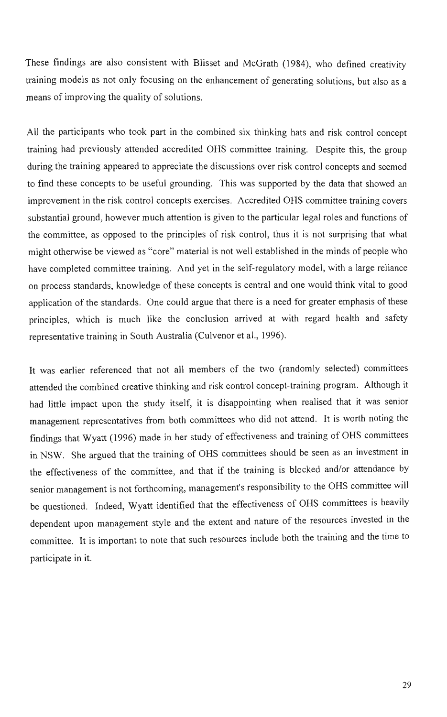These findings are also consistent with Blisset and McGrath (1984), who defined creativity training models as not only focusing on the enhancement of generating solutions, but also as a means of improving the quality of solutions.

All the participants who took part in the combined six thinking hats and risk control concept training had previously attended accredited OHS committee training. Despite this, the group during the training appeared to appreciate the discussions over risk control concepts and seemed to find these concepts to be useful grounding. This was supported by the data that showed an improvement in the risk control concepts exercises. Accredited OHS committee training covers substantial ground, however much attention is given to the particular legal roles and functions of the committee, as opposed to the principles of risk control, thus it is not surprising that what might otherwise be viewed as "core" material is not well established in the minds of people who have completed committee training. And yet in the self-regulatory model, with a large reliance on process standards, knowledge of these concepts is central and one would think vital to good application of the standards. One could argue that there is a need for greater emphasis of these principles, which is much like the conclusion arrived at with regard health and safety representative training in South Australia (Culvenor et al., 1996).

It was earlier referenced that not all members of the two (randomly selected) committees attended the combined creative thinking and risk control concept-training program. Although it had little impact upon the study itself, it is disappointing when realised that it was senior management representatives from both committees who did not attend. It is worth noting the findings that Wyatt (1996) made in her study of effectiveness and training of OHS committees in NSW. She argued that the training of OHS committees should be seen as an investment in the effectiveness of the committee, and that if the training is blocked and/or attendance by senior management is not forthcoming, management's responsibility to the OHS committee will be questioned. Indeed, Wyatt identified that the effectiveness of OHS committees is heavily dependent upon management style and the extent and nature of the resources invested in the committee. It is important to note that such resources include both the training and the time to participate in it.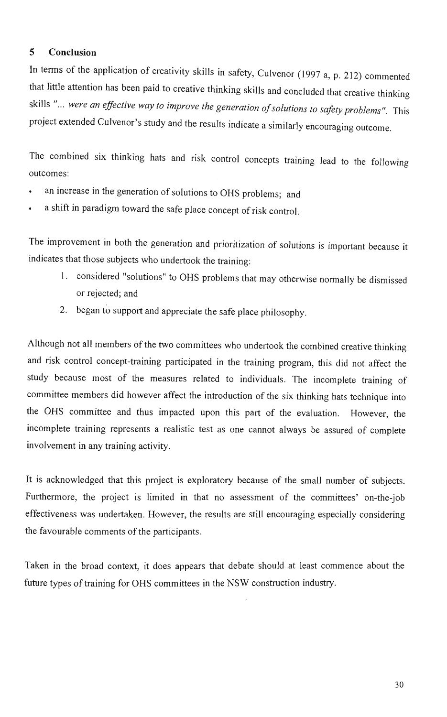#### **5 Conclusion**

In terms of the application of creativity skills in safety, Culvenor (1997 a, p. 212) commented that little attention has been paid to creative thinking skills and concluded that creative thinking skills "... were an effective way to improve the generation of solutions to safety problems". This project extended Culvenor's study and the results indicate a similarly encouraging outcome.

The combined six thinking hats and risk control concepts training lead to the following outcomes:

- an increase in the generation of solutions to OHS problems; and
- . a shift in paradigm toward the safe place concept of risk control.

The improvement in both the generation and prioritization of solutions is important because it indicates that those subjects who undertook the training:

- 1. considered "solutions" to OHS problems that may otherwise normally be dismissed or rejected; and
- 2. began to support and appreciate the safe place philosophy.

Although not all members of the two committees who undertook the combined creative thinking and risk control concept-training participated in the training program, this did not affect the study because most of the measures related to individuals. The incomplete training of committee members did however affect the introduction of the six thinking hats technique into the OHS committee and thus impacted upon this part of the evaluation. However, the incomplete training represents a realistic test as one cannot always be assured of complete involvement in any training activity.

It is acknowledged that this project is exploratory because of the small number of subjects. Furthermore, the project is limited in that no assessment of the committees' on-the-job effectiveness was undertaken. However, the results are still encouraging especially considering the favourable comments of the participants.

Taken in the broad context, it does appears that debate should at least commence about the future types of training for OHS committees in the NSW construction industry.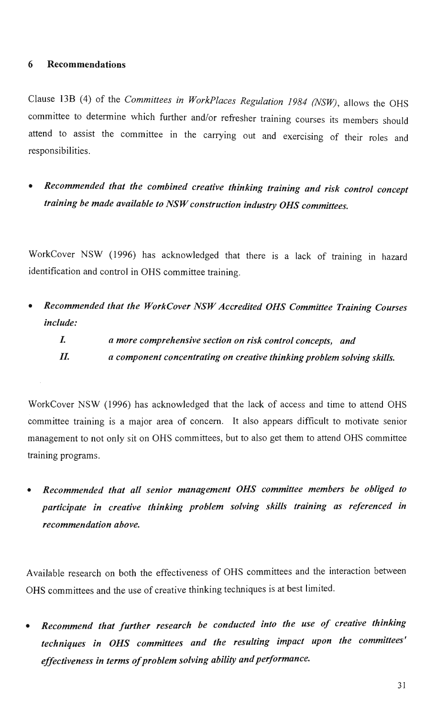#### **6 Recommendations**

Clause 13B (4) of the Committees in WorkPlaces Regulation 1984 (NSW), allows the OHS committee to determine which further and/or refresher training courses its members should attend to assist the committee in the carrying out and exercising of their roles and responsibilities.

• Recommended that the combined creative thinking training and risk control concept training be made available to NSW construction industry OHS committees.

WorkCover NSW (1996) has acknowledged that there is a lack of training in hazard identification and control in OHS committee training.

• Recommended that the WorkCover NSW Accredited OHS Committee Training Courses include:

I. a more comprehensive section on risk control concepts, and II. a component concentrating on creative thinking problem solving skills.

WorkCover NSW (1996) has acknowledged that the lack of access and time to attend OHS committee training is a major area of concern. It also appears difficult to motivate senior management to not only sit on OHS committees, but to also get them to attend OHS committee training programs.

• Recommended that all senior management OHS committee members be obliged to participate in creative thinking problem solving skills training as referenced in recommendation above.

Available research on both the effectiveness of OHS committees and the interaction between OHS committees and the use of creative thinking techniques is at best limited.

• Recommend that further research be conducted into the use of creative thinking techniques in OHS committees and the resulting impact upon the committees' effectiveness in terms of problem solving ability and performance.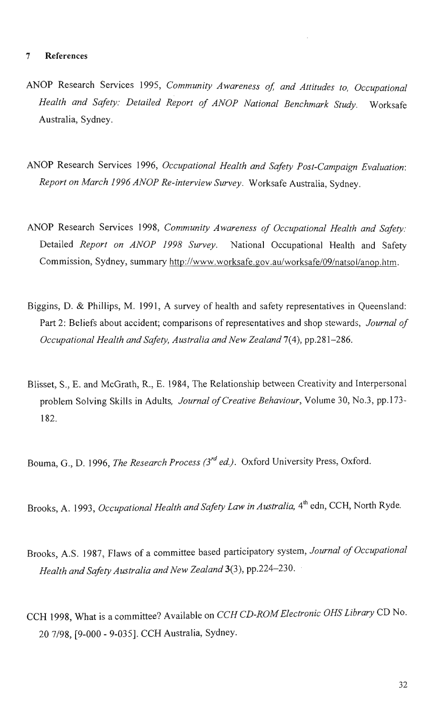#### 7 References

- ANOP Research Services 1995, Community Awareness of, and Attitudes to, Occupational Health and Safety: Detailed Report of ANOP National Benchmark Study. Worksafe Australia, Sydney.
- ANOP Research Services 1996, Occupational Health and Safety Post-Campaign Evaluation: Report on March 1996 ANOP Re-interview Survey. Worksafe Australia, Sydney.
- ANOP Research Services 1998, Community Awareness of Occupational Health and Safety: Detailed Report on ANOP 1998 Survey. National Occupational Health and Safety Commission, Sydney, summary [http://www.worksafe.gov.au/worksafe/09/natsol/anop.htm.](http://www.worksafe.gov.au/worksafe/09/natsol/anop.htm)
- Biggins, D. & Phillips, M. 1991, A survey of health and safety representatives in Queensland: Part 2: Beliefs about accident; comparisons of representatives and shop stewards, *Journal of* Occupational Health and Safety, Australia and New Zealand 7(4), pp.281-286.
- Blisset, S., E. and McGrath, R., E. 1984, The Relationship between Creativity and Interpersonal problem Solving Skills in Adults, Journal of Creative Behaviour, Volume 30, No.3, pp.173- 182.

Bouma, G., D. 1996, The Research Process (3<sup>rd</sup> ed.). Oxford University Press, Oxford.

Brooks, A. 1993, Occupational Health and Safety Law in Australia, 4<sup>th</sup> edn, CCH, North Ryde.

- Brooks, A.S. 1987, Flaws of a committee based participatory system, Journal of Occupational Health and Safety Australia and New Zealand 3(3), pp.224-230.
- CCH 1998, What is a committee? Available on CCH CD-ROM Electronic OHS Library CD No. 20 7/98, [9-000 - 9-035]. CC H Australia, Sydney.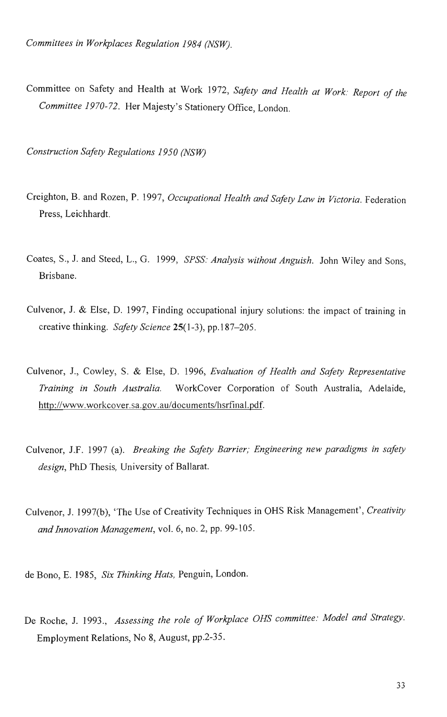Committee on Safety and Health at Work 1972, Safety and Health at Work: Report of the Committee 1970-72. Her Majesty's Stationery Office, London.

Construction Safety Regulations 1950 (NSW)

- Creighton, B. and Rozen, P. 1997, Occupational Health and Safety Law in Victoria. Federation Press, Leichhardt.
- Coates, S., J. and Steed, L., G. 1999, SPSS: Analysis without Anguish. John Wiley and Sons, Brisbane.
- Culvenor, J. & Else, D. 1997, Finding occupational injury solutions: the impact of training in creative thinking. Safety Science 25(1-3), pp.187-205.
- Culvenor, J., Cowley, S. & Else, D. 1996, Evaluation of Health and Safety Representative Training in South Australia. WorkCover Corporation of South Australia, Adelaide, [http://www.workcover.sa.gov.au/documents/hsrfinal.pdf.](http://www.workcover.sa.gov.au/documents/hsrfinal.pdf)
- Culvenor, J.F. 1997 (a). Breaking the Safety Barrier; Engineering new paradigms in safety design, PhD Thesis, University of Ballarat.
- Culvenor, J. 1997(b), 'The Use of Creativity Techniques in OHS Risk Management', Creativity and Innovation Management, vol. 6, no. 2, pp. 99-105.

de Bono, E. 1985, Six Thinking Hats, Penguin, London.

De Roche, J. 1993., Assessing the role of Workplace OHS committee: Model and Strategy. Employment Relations, No 8, August, pp.2-35.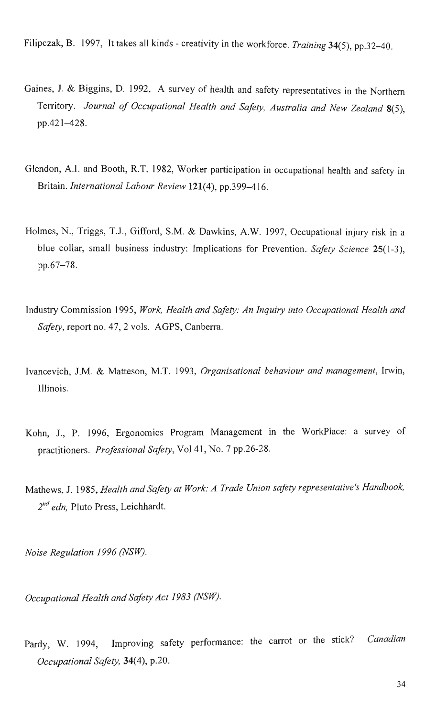Filipczak, B. 1997, It takes all kinds - creativity in the workforce. Training 34(5), pp.32-40.

- Gaines, J. & Biggins, D. 1992, A survey of health and safety representatives in the Northern Territory. Journal of Occupational Health and Safety, Australia and New Zealand 8(5), pp.421-428.
- Glendon, A.I. and Booth, R.T. 1982, Worker participation in occupational health and safety in Britain. International Labour Review 121(4), pp.399-416.
- Holmes, N, Triggs, T.J., Gifford, S.M. & Dawkins, A.W. 1997, Occupational injury risk in a blue collar, small business industry: Implications for Prevention. Safety Science 25(1-3), pp.67-78.
- Industry Commission 1995, Work, Health and Safety: An Inquiry into Occupational Health and Safety, report no. 47, 2 vols. AGPS, Canberra.
- Ivancevich, J.M. & Matteson, M.T. 1993, Organisational behaviour and management, Irwin, Illinois.
- Kohn, J., P. 1996, Ergonomics Program Management in the Workplace: a survey of practitioners. Professional Safety, Vol 41, No. 7 pp.26-28.
- Mathews, J. 1985, Health and Safety at Work: A Trade Union safety representative's Handbook,  $2^{nd}$  edn, Pluto Press, Leichhardt.

Noise Regulation 1996 (NSW).

Occupational Health and Safety Act 1983 (NSW).

Pardy, W. 1994, Improving safety performance: the carrot or the stick? Canadian Occupational Safety, 34(4), p.20.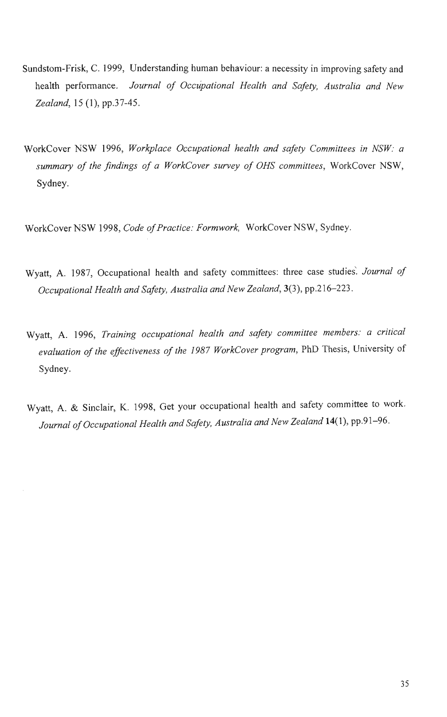- Sundstom-Frisk, C. 1999, Understanding human behaviour: a necessity in improving safety and health performance. Journal of Occupational Health and Safety, Australia and New Zealand, 15 (1), pp.37-45.
- WorkCover NSW 1996, Workplace Occupational health and safety Committees in NSW: a summary of the findings of a WorkCover survey of OHS committees, WorkCover NSW, Sydney.

WorkCover NSW 1998, Code of Practice: Formwork, WorkCover NSW, Sydney.

- Wyatt, A. 1987, Occupational health and safety committees: three case studies. Journal of Occupational Health and Safety, Australia and New Zealand, 3(3), pp.216-223.
- Wyatt, A. 1996, Training occupational health and safety committee members: a critical evaluation of the effectiveness of the 1987 WorkCover program, PhD Thesis, University of Sydney.
- Wyatt, A. & Sinclair, K. 1998, Get your occupational health and safety committee to work, Journal of Occupational Health and Safety, Australia and New Zealand 14(1), pp.91-96.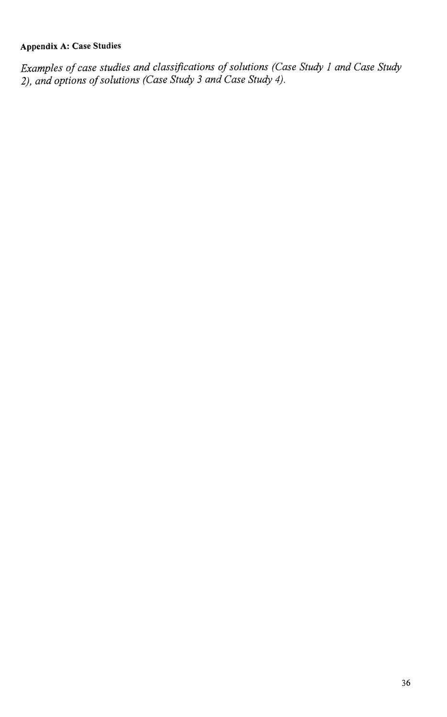### **Appendix A: Case Studies**

Examples of case studies and classifications of solutions (Case Study 1 and Case Study 2), and options of solutions (Case Study 3 and Case Study 4).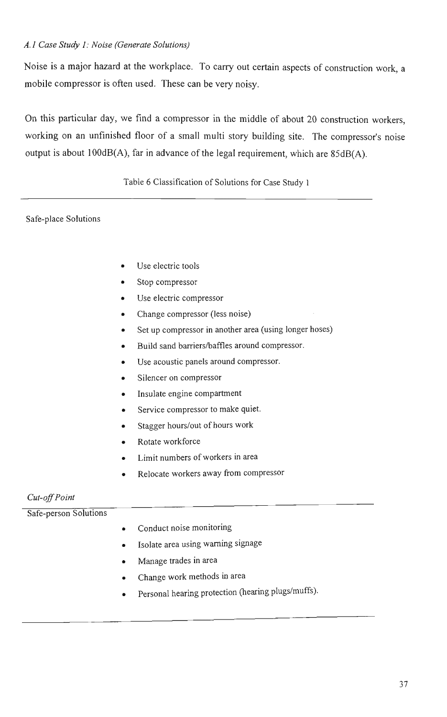#### A. 1 Case Study 1: Noise (Generate Solutions)

Noise is a major hazard at the workplace. To carry out certain aspects of construction work, a mobile compressor is often used. These can be very noisy.

On this particular day, we find a compressor in the middle of about 20 construction workers, working on an unfinished floor of a small multi story building site. The compressor's noise output is about 100dB(A), far in advance of the legal requirement, which are 85dB(A).

Table 6 Classification of Solutions for Case Study 1

#### Safe-place Solutions

- Use electric tools
- Stop compressor
- Use electric compressor
- Change compressor (less noise)
- Set up compressor in another area (using longer hoses)
- Build sand barriers/baffles around compressor.
- Use acoustic panels around compressor.
- Silencer on compressor
- Insulate engine compartment
- Service compressor to make quiet.
- Stagger hours/out of hours work
- Rotate workforce
- Limit numbers of workers in area
- Relocate workers away from compressor

#### Cut-off Point

#### Safe-person Solutions

- Conduct noise monitoring
- Isolate area using warning signage
- Manage trades in area
- Change work methods in area
- Personal hearing protection (hearing plugs/muffs).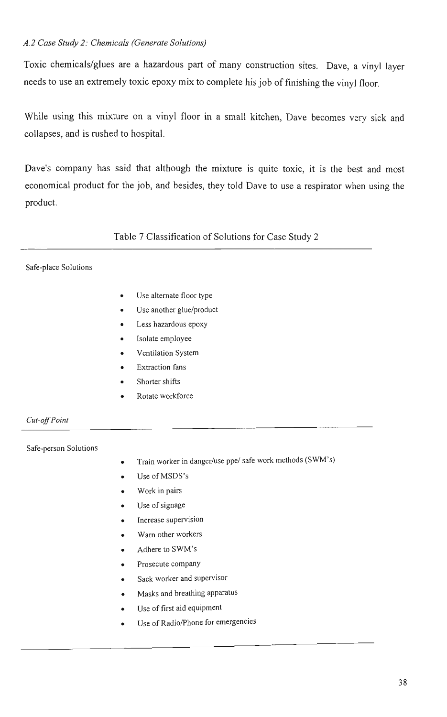#### A. 2 Case Study 2: Chemicals (Generate Solutions)

Toxic chemicals/glues are a hazardous part of many construction sites. Dave, a vinyl layer needs to use an extremely toxic epoxy mix to complete his job of finishing the vinyl floor.

While using this mixture on a vinyl floor in a small kitchen, Dave becomes very sick and collapses, and is rushed to hospital.

Dave's company has said that although the mixture is quite toxic, it is the best and most economical product for the job, and besides, they told Dave to use a respirator when using the product.

Table 7 Classification of Solutions for Case Study 2

#### Safe-place Solutions

- Use alternate floor type  $\bullet$
- Use another glue/product
- Less hazardous epoxy
- Isolate employee
- Ventilation System
- Extraction fans
- Shorter shifts
- Rotate workforce

Cut-off Point

Safe-person Solutions

- Train worker in danger/use ppe/ safe work methods (SWM's)
- Use of MSDS's
- Work in pairs
- Use of signage
- Increase supervision
- Warn other workers
- Adhere to SWM's
- Prosecute company
- Sack worker and supervisor
- Masks and breathing apparatus
- Use of first aid equipment
- Use of Radio/Phone for emergencies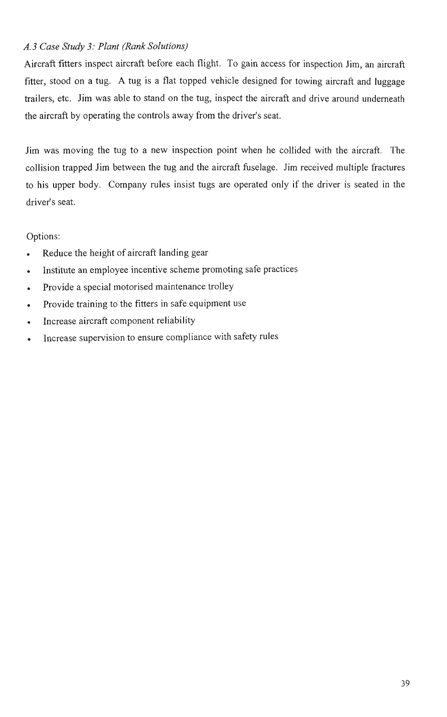#### A. 3 Case Study 3: Plant (Rank Solutions)

Aircraft fitters inspect aircraft before each flight. To gain access for inspection Jim, an aircraft fitter, stood on a tug. A tug is a flat topped vehicle designed for towing aircraft and luggage trailers, etc. Jim was able to stand on the tug, inspect the aircraft and drive around underneath the aircraft by operating the controls away from the driver's seat.

Jim was moving the tug to a new inspection point when he collided with the aircraft. The collision trapped Jim between the tug and the aircraft fuselage. Jim received multiple fractures to his upper body. Company rules insist tugs are operated only if the driver is seated in the driver's seat.

Options:

- Reduce the height of aircraft landing gear
- Institute an employee incentive scheme promoting safe practices
- Provide a special motorised maintenance trolley
- . Provide training to the fitters in safe equipment use
- Increase aircraft component reliability
- Increase supervision to ensure compliance with safety rules